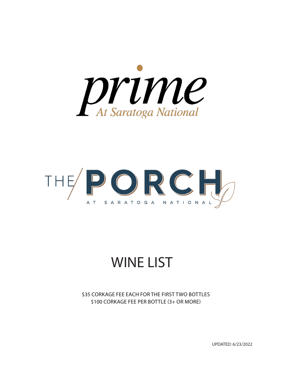



## WINE LIST

\$35 CORKAGE FEE EACH FOR THE FIRST TWO BOTTLES \$100 CORKAGE FEE PER BOTTLE (3+ OR MORE)

UPDATED: 6/23/2022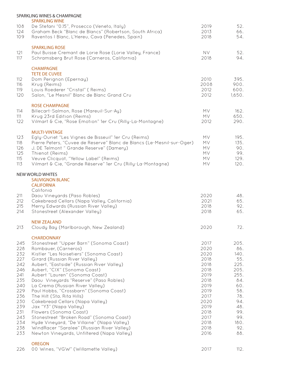|                                                                                                                            | SPARKLING WINES & CHAMPAGNE                                                                                                                                                                                                                                                                                                                                                                                                                                                                                                                                                                                                                                                                                       |                                                                                                                                              |                                                                                                                                  |
|----------------------------------------------------------------------------------------------------------------------------|-------------------------------------------------------------------------------------------------------------------------------------------------------------------------------------------------------------------------------------------------------------------------------------------------------------------------------------------------------------------------------------------------------------------------------------------------------------------------------------------------------------------------------------------------------------------------------------------------------------------------------------------------------------------------------------------------------------------|----------------------------------------------------------------------------------------------------------------------------------------------|----------------------------------------------------------------------------------------------------------------------------------|
| 108<br>124<br>109                                                                                                          | <b>SPARKLING WINE</b><br>De Stefani "0.15", Prosecco (Veneto, Italy)<br>Graham Beck "Blanc de Blancs" (Robertson, South Africa)<br>Raventos I Blanc, L'Hereu, Cava (Penedes, Spain)                                                                                                                                                                                                                                                                                                                                                                                                                                                                                                                               | 2019<br>2013<br>2018                                                                                                                         | 52.<br>66.<br>54.                                                                                                                |
| 121<br>117                                                                                                                 | <b>SPARKLING ROSE</b><br>Paul Buisse Cremant de Lorie Rose (Lorie Valley, France)<br>Schramsberg Brut Rose (Carneros, California)                                                                                                                                                                                                                                                                                                                                                                                                                                                                                                                                                                                 | <b>NV</b><br>2018                                                                                                                            | 52.<br>94.                                                                                                                       |
| 112<br>116<br>119<br>120                                                                                                   | <b>CHAMPAGNE</b><br><b>TETE DE CUVEE</b><br>Dom Perignon (Epernay)<br>Krug (Reims)<br>Louis Roederer "Cristal" (Reims)<br>Salon, "Le Mesnil" Blanc de Blanc Grand Cru                                                                                                                                                                                                                                                                                                                                                                                                                                                                                                                                             | 2010<br>2008<br>2012<br>2012                                                                                                                 | 395.<br>900.<br>600.<br>1,650.                                                                                                   |
| 114<br>111<br>122                                                                                                          | <b>ROSE CHAMPAGNE</b><br>Billecart-Salmon, Rose (Mareuil-Sur-Ay)<br>Krug 23rd Edition (Reims)<br>Vilmart & Cie, "Rose Emotion" 1er Cru (Rilly-La-Montagne)                                                                                                                                                                                                                                                                                                                                                                                                                                                                                                                                                        | MV.<br>MV<br>2012                                                                                                                            | 162.<br>650.<br>290.                                                                                                             |
| 123<br>118<br>126<br>125<br>115<br>113                                                                                     | <b>MULTI-VINTAGE</b><br>Egly-Ouriet "Les Vignes de Bisseuil" 1er Cru (Reims)<br>Pierre Peters, "Cuvee de Reserve" Blanc de Blancs (Le-Mesnil-sur-Oger)<br>J. DE Telmont " Grande Reserve" (Damery)<br>Thienot (Reims)<br>Veuve Clicquot, "Yellow Label" (Reims)<br>Vilmart & Cie, "Grande Réserve" 1er Cru (Rilly-La-Montagne)                                                                                                                                                                                                                                                                                                                                                                                    | <b>MV</b><br><b>MV</b><br><b>MV</b><br><b>MV</b><br><b>MV</b><br>MV                                                                          | 195.<br>135.<br>90.<br>99.<br>129.<br>120.                                                                                       |
|                                                                                                                            | NEW WORLD WHITES<br><b>SAUVIGNON BLANC</b><br><b>CALIFORNIA</b><br>Califonia                                                                                                                                                                                                                                                                                                                                                                                                                                                                                                                                                                                                                                      |                                                                                                                                              |                                                                                                                                  |
| 211<br>212<br>215<br>214                                                                                                   | Daou Vineyards (Paso Robles)<br>Cakebread Cellars (Napa Valley, California)<br>Merry Edwards (Russian River Valley)<br>Stonestreet (Alexander Valley)                                                                                                                                                                                                                                                                                                                                                                                                                                                                                                                                                             | 2020<br>2021<br>2018<br>2018                                                                                                                 | 48.<br>65.<br>92.<br>65.                                                                                                         |
| 213                                                                                                                        | <b>NEW ZEALAND</b><br>Cloudy Bay (Marlborough, New Zealand)                                                                                                                                                                                                                                                                                                                                                                                                                                                                                                                                                                                                                                                       | 2020                                                                                                                                         | 72.                                                                                                                              |
| 245<br>228<br>232<br>227<br>242<br>246<br>241<br>235<br>240<br>229<br>236<br>230<br>239<br>231<br>243<br>234<br>238<br>233 | <b>CHARDONNAY</b><br>Stonestreet "Upper Barn" (Sonoma Coast)<br>Rombauer, (Carneros)<br>Kistler "Les Noisetiers" (Sonoma Coast)<br>Girard (Russian River Valley)<br>Aubert, "Eastside" (Russian River Valley)<br>Aubert, "CIX" (Sonoma Coast)<br>Aubert "Lauren" (Sonoma Coast)<br>Daou Vineyards "Reserve" (Paso Robles)<br>La Crema (Russian River Valley)<br>Paul Hobbs, "Crossbarn" (Sonoma Coast)<br>The Hilt (Sta. Rita Hills)<br>Cakebread Cellars (Napa Valley)<br>Jax "Y3" (Napa Valley)<br>Flowers (Sonoma Coast)<br>Stonestreet "Broken Road" (Sonoma Coast)<br>Hyde Vineyard, "De Villaine" (Napa Valley)<br>WindRacer "Saralee" (Russian River Valley)<br>Newton Vineyards, Unfiltered (Napa Valley) | 2017<br>2020<br>2020<br>2018<br>2018<br>2018<br>2019<br>2018<br>2019<br>2019<br>2017<br>2020<br>2019<br>2018<br>2017<br>2018<br>2018<br>2016 | 205.<br>86.<br>140.<br>55.<br>225.<br>205.<br>255.<br>84.<br>60.<br>58.<br>78.<br>94.<br>48.<br>99.<br>99.<br>180.<br>92.<br>88. |
|                                                                                                                            | <b>OREGON</b>                                                                                                                                                                                                                                                                                                                                                                                                                                                                                                                                                                                                                                                                                                     |                                                                                                                                              |                                                                                                                                  |

| 226 00 Wines, "VGW" (Willamette Valley) |  |
|-----------------------------------------|--|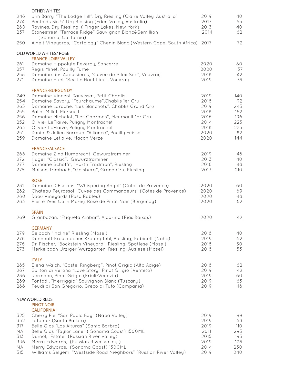| 248<br>274<br>260<br>237                                         | <b>OTHER WHITES</b><br>Jim Barry, "The Lodge Hill", Dry Riesling (Claire Valley, Australia)<br>Penfolds Bin 51 Dry Rielsing (Eden Valley, Australia)<br>Ravines, Dry Riesling, (Finger Lakes, New York)<br>Stonestreet "Terrace Ridge" Sauvignon Blanc&Semillion                                                                                                                                                                           | 2019<br>2017<br>2013<br>2014                                         | 40.<br>55.<br>40.<br>62.                                           |
|------------------------------------------------------------------|--------------------------------------------------------------------------------------------------------------------------------------------------------------------------------------------------------------------------------------------------------------------------------------------------------------------------------------------------------------------------------------------------------------------------------------------|----------------------------------------------------------------------|--------------------------------------------------------------------|
| 250                                                              | (Sonoma, California)<br>Alheit Vineyards, "Cartology" Chenin Blanc (Western Cape, South Africa) 2017                                                                                                                                                                                                                                                                                                                                       |                                                                      | 72.                                                                |
|                                                                  | OLD WORLD WHITES/ ROSE                                                                                                                                                                                                                                                                                                                                                                                                                     |                                                                      |                                                                    |
| 261<br>257<br>258<br>271                                         | <b>FRANCE-LOIRE VALLEY</b><br>Domaine Hippolyte Reverdy, Sancerre<br>Regis Minet, Pouilly Fume<br>Domaine des Aubuisieres, "Cuvee de Silex Sec", Vouvray<br>Domaine Huet "Sec Le Haut Lieu", Vouvray                                                                                                                                                                                                                                       | 2020<br>2020<br>2018<br>2019                                         | 80.<br>57.<br>42.<br>78.                                           |
| 249<br>254<br>265<br>255<br>256<br>252<br>263<br>251<br>259      | <b>FRANCE-BURGUNDY</b><br>Domaine Vincent Dauvissat, Petit Chablis<br>Domaine Savary, "Fourchaume", Chablis 1er Cru<br>Domaine Laroche, "Les Blanchots", Chablis Grand Cru<br><b>Ballot Millot, Mersault</b><br>Domaine Michelot, "Les Charmes", Meursault 1er Cru<br>Olivier LeFlaive, Puligny Montrachet<br>Olivier LeFlaive, Puligny Montrachet<br>Daniel & Julien Barraud, "Alliance", Pouilly Fuisse<br>Domaine Leflaive, Macon Verze | 2019<br>2018<br>2019<br>2018<br>2016<br>2014<br>2018<br>2020<br>2020 | 140.<br>92.<br>245.<br>162.<br>196.<br>225.<br>225.<br>82.<br>144. |
| 266<br>272<br>277<br>275                                         | <b>FRANCE-ALSACE</b><br>Domaine Zind Humbrecht, Gewurztraminer<br>Hugel, "Classic", Gewurztraminer<br>Domaine Schoffit, "Harth Tradition", Riesling<br>Maison Trimbach, "Geisberg", Grand Cru, Riesling                                                                                                                                                                                                                                    | 2019<br>2013<br>2016<br>2013                                         | 48.<br>40.<br>48.<br>210.                                          |
| 281<br>282<br>280<br>283                                         | <b>ROSE</b><br>Domaine D'Esclans, "Whispering Angel" (Cotes de Provence)<br>Chateau Peyrassol "Cuvee des Commandeurs" (Cotes de Provence)<br>Daou Vineyards (Paso Robles)<br>Pierre Yves Colin Morey, Rose de Pinot Noir (Burgundy)                                                                                                                                                                                                        | 2020<br>2020<br>2020<br>2020                                         | 60.<br>69.<br>48.<br>62.                                           |
| 269                                                              | <b>SPAIN</b><br>Granbazan, "Etiqueta Ambar", Albarino (Rias Baixas)                                                                                                                                                                                                                                                                                                                                                                        | 2020                                                                 | 42.                                                                |
| 279<br>278<br>276<br>273                                         | <b>GERMANY</b><br>Selbach "Incline" Riesling (Mosel)<br>Donnhoff Kreuznacher Krotenpfuhl, Riesling, Kabinett (Nahe)<br>Dr. Fischer, "Bockstein Vineyard", Riesling, Spatlese (Mosel)<br>Merkelbach Urziger Wurzgarten, Riesling, Auslese (Mosel)                                                                                                                                                                                           | 2018<br>2019<br>2018<br>2018                                         | 40.<br>52.<br>50.<br>55.                                           |
| 285<br>287<br>286<br>289<br>288                                  | <b>ITALY</b><br>Elena Walch, "Castel Ringberg", Pinot Grigio (Alto Adige)<br>Sartori di Verona "Love Story" Pinot Grigio (Venteto)<br>Jermann, Pinot Grigio (Friuli-Venezia)<br>Fontodi, "Merriggio" Sauvignon Blanc (Tuscany)<br>Feudi di San Gregorio, Greco di Tufo (Campania)                                                                                                                                                          | 2018<br>2019<br>2019<br>2019<br>2019                                 | 62.<br>42.<br>60.<br>65.<br>48.                                    |
|                                                                  | NEW WORLD REDS                                                                                                                                                                                                                                                                                                                                                                                                                             |                                                                      |                                                                    |
| 325<br>332<br>317<br><b>NA</b><br>313<br>336<br><b>NA</b><br>315 | <b>PINOT NOIR</b><br><b>CALIFORNIA</b><br>Cherry Pie, "San Pablo Bay" (Napa Valley)<br>Tatomer (Santa Barbra)<br>Belle Glos "Las Alturas" (Santa Barbra)<br>Belle Glos "Taylor Lane" (Sonama Coast) 1500ML<br>Dumol, "Estate" (Russian River Valley)<br>Merry Edwards, (Russian River Valley)<br>Merry Edwards, (Sonoma Coast) 1500ML<br>Williams Selyem, "Westside Road Nieghbors" (Russian River Valley)                                 | 2019<br>2019<br>2019<br>2011<br>2015<br>2019<br>2014<br>2019         | 99.<br>68.<br>110.<br>295.<br>195.<br>128.<br>250.<br>240.         |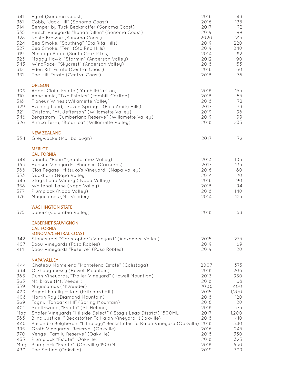| 341<br>381<br>314<br>335<br>328<br>324<br>327<br>319<br>323<br>343<br>312<br>331                                    | Egret (Sonoma Coast)<br>Cobb, "Jack Hill" (Sonoma Coast)<br>Semper by Tuck Beckstoffer (Sonoma Coast)<br>Hirsch Vineyards "Bohan Dillon" (Sonoma Coast)<br>Kosta Browne (Sonoma Coast)<br>Sea Smoke, "Southing" (Sta Rita Hills)<br>Sea Smoke, "Ten" (Sta Rita Hills)<br>Mindego Ridge (Santa Cruz Mtns)<br>Maggy Hawk, "Stormin" (Anderson Valley)<br>WindRacer "Skycrest" (Anderson Valley)<br>Eden Rift Estate (Central Coast)<br>The Hilt Estate (Central Coast)                                                                                                                                                                                                                                                                                                              | 2016<br>2016<br>2017<br>2019<br>2020<br>2019<br>2019<br>2014<br>2012<br>2018<br>2016<br>2018                                 | 48.<br>135.<br>92.<br>99.<br>215.<br>220.<br>240.<br>82.<br>90.<br>155.<br>80.<br>78.                                                    |
|---------------------------------------------------------------------------------------------------------------------|-----------------------------------------------------------------------------------------------------------------------------------------------------------------------------------------------------------------------------------------------------------------------------------------------------------------------------------------------------------------------------------------------------------------------------------------------------------------------------------------------------------------------------------------------------------------------------------------------------------------------------------------------------------------------------------------------------------------------------------------------------------------------------------|------------------------------------------------------------------------------------------------------------------------------|------------------------------------------------------------------------------------------------------------------------------------------|
| 309<br>310<br>318<br>329<br>321<br>346<br>326                                                                       | <b>OREGON</b><br>Abbot Claim Estate (Yamhill-Carlton)<br>Anne Amie, "Two Estates" (Yamhill-Carlton)<br>Flaneur Wines (Willamette Valley)<br>Evening Land, "Seven Springs" (Eola Amity Hills)<br>Cristom, "Mt. Jefferson" (Willamette Valley)<br>Bergstrom "Cumberland Reserve" (Willamette Valley)<br>Antica Terra, "Botanica" (Willamette Valley)                                                                                                                                                                                                                                                                                                                                                                                                                                | 2018<br>2018<br>2018<br>2017<br>2019<br>2019<br>2018                                                                         | 155.<br>65.<br>72.<br>78.<br>96.<br>99.<br>235.                                                                                          |
| 334                                                                                                                 | <b>NEW ZEALAND</b><br>Greywacke (Marlborough)                                                                                                                                                                                                                                                                                                                                                                                                                                                                                                                                                                                                                                                                                                                                     | 2017                                                                                                                         | 72.                                                                                                                                      |
| 344<br>363<br>366<br>353<br>345<br>358<br>377<br>378                                                                | <b>MERLOT</b><br><b>CALIFORNIA</b><br>Jonata, "Fenix" (Santa Ynez Valley)<br>Hudson Vineyards "Phoenix" (Carneros)<br>Clos Pegase "Mitsuko's Vineyard" (Napa Valley)<br>Duckhorn (Napa Valley)<br>Stags Leap Winery (Napa Valley)<br>Whitehall Lane (Napa Valley)<br>Plumpjack (Napa Valley)<br>Mayacamas (Mt. Veeder)                                                                                                                                                                                                                                                                                                                                                                                                                                                            | 2013<br>2017<br>2016<br>2014<br>2016<br>2018<br>2018<br>2014                                                                 | 105.<br>135.<br>60.<br>120.<br>90.<br>94.<br>140.<br>125.                                                                                |
| 375                                                                                                                 | <b>WASHINGTON STATE</b><br>Januik (Columbia Valley)                                                                                                                                                                                                                                                                                                                                                                                                                                                                                                                                                                                                                                                                                                                               | 2018                                                                                                                         | 68.                                                                                                                                      |
| 342<br>407<br>414                                                                                                   | <b>CABERNET SAUVIGNON</b><br><b>CALIFORNIA</b><br>SONOMA/CENTRAL COAST<br>Stonestreet "Christopher's Vineyard" (Alexander Valley)<br>Daou Vineyards (Paso Robles)<br>Daou Vineyards "Reserve" (Paso Robles)                                                                                                                                                                                                                                                                                                                                                                                                                                                                                                                                                                       | 2015<br>2019<br>2019                                                                                                         | 275.<br>69.<br>120.                                                                                                                      |
| 444<br>384<br>383<br>365<br>359<br>420<br>408<br>369<br>401<br>Mag<br>385<br>440<br>395<br>370<br>455<br>Mag<br>430 | <b>NAPA VALLEY</b><br>Chateau Montelena "Montelena Estate" (Calistoga)<br>O'Shaughnessy (Howell Mountain)<br>Dunn Vineyards, "Trailer Vineyard" (Howell Mountian)<br>Mt. Brave (Mt. Veeder)<br>Mayacamus (Mt.Veeder)<br>Bryant Family Estate (Pritchard Hill)<br>Martin Ray (Diamond Mountain)<br>Togni, "Tanbark Hill" (Spring Mountain)<br>Spottswood, "Estate" (St. Helena)<br>Shafer Vineyards "Hillside Select" (Stag's Leap District) 1500ML<br>Blind Justice " Beckstoffer To Kalon Vineyard" (Oakville)<br>Alejandro Bulgheroni "Lithology" Beckstoffer To Kalon Vineyard (Oakville) 2018<br>Groth Vineyards "Reserve" (Oakville)<br>Venge "Family Reserve" (Oakville)<br>Plumpjack "Estate" (Oakville)<br>Plumpjack "Estate" (Oakville) 1500ML<br>The Setting (Oakville) | 2007<br>2018<br>2013<br>2018<br>2006<br>2015<br>2018<br>2016<br>2018<br>2017<br>2018<br>2016<br>2018<br>2018<br>2018<br>2019 | 375.<br>206.<br>950.<br>168.<br>400.<br>1,200.<br>120.<br>120.<br>375.<br>1,200.<br>410.<br>540.<br>245.<br>350.<br>325.<br>650.<br>329. |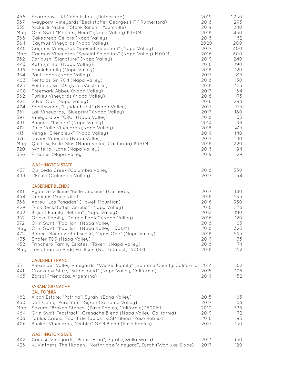| 456        | Scarecrow, JJ Cohn Estate, (Rutherford)                                      | 2019         | 1,250.       |
|------------|------------------------------------------------------------------------------|--------------|--------------|
| 387        | Waypoint Vineyards "Beckstoffer Georges III" ( Rutherford)                   | 2018         | 295.         |
| 355        | Nickel & Nickel, "State Ranch" (Yountville)                                  | 2019         | 240.         |
| Mag        | Orin Swift "Mercury Head" (Napa Valley) 1500ML                               | 2018         | 480.         |
| 368        | Cakebread Cellars (Napa Valley)                                              | 2018         | 182.         |
| 364        | Caymus Vineyards (Napa Valley)                                               | 2020         | 200.         |
| 446        | Caymus Vineyards "Special Selection" (Napa Valley)                           | 2017         | 400.         |
| Mag        | Caymus Vineyards "Special Selection" (Napa Valley) 1500ML                    | 2016         | 800.         |
| 382        | Darioush "Signature" (Napa Valley)                                           | 2019         | 240.         |
| 443        | Kathryn Hall (Napa Valley)                                                   | 2016         | 290.         |
| 396        | Frank Family (Napa Valley)                                                   | 2018         | 120.         |
| 354        | Paul Hobbs (Napa Valley)                                                     | 2017         | 215.         |
| 403        | Penfolds Bin 704 (Napa Valley)                                               | 2018         | 150.         |
| 425        | Penfolds Bin 149 (Napa/Australlia)                                           | 2018         | 325.         |
| 400        | Freemark Abbey (Napa Valley)                                                 | 2017         | 84.          |
| 362        | Purlieu Vineyards (Napa Valley)                                              | 2016         | 175.         |
| 421        | Silver Oak (Napa Valley)                                                     | 2016         | 298.         |
| 424        | Spottswood, "Lyndenhurst" (Napa Valley)                                      | 2017<br>2017 | 175.         |
| 361<br>397 | Lail Vineyards, "Blueprint" (Napa Valley)<br>Vineyard 29 "CRU" (Napa Valley) | 2018         | 160.<br>135. |
| 431        | Boyanci "Inspire" (Napa Valley)                                              | 2014         | 98.          |
| 412        | Dalla Valle Vineyards (Napa Valley)                                          | 2018         | 415.         |
| 413        | Venge "Silencieux" (Napa Valley)                                             | 2019         | 140.         |
| 376        | Davies Vineyard (Napa Valley)                                                | 2017         | 110.         |
| Mag        | Quilt By Belle Glos (Napa Valley, California) 1500ML                         | 2018         | 220.         |
| 320        | WhiteHall Lane (Napa Valley)                                                 | 2018         | 94.          |
| 356        | Prisoner (Napa Valley)                                                       | 2019         | 129.         |
|            |                                                                              |              |              |
|            | <b>WASHINGTON STATE</b>                                                      |              |              |
| 437        | Quilceda Creek (Columbia Valley)                                             | 2018         | 350.         |
| 439        | L'Ecole (Columbia Valley)                                                    | 2017         | 84.          |
|            |                                                                              |              |              |
|            | <b>CABERNET BLENDS</b>                                                       |              |              |
| 481        | Hyde De Villaine "Belle Cousine" (Carneros)                                  | 2017         | 140.         |
| 454        | Dominus (Yountville)                                                         | 2018         | 595.         |
| 386        | Abreu "Los Posadas" (Howell Mountian)                                        | 2016         | 950.         |
| 429        | Tuck Beckstoffer "Amulet" (Napa Valley)                                      | 2016         | 278.         |
| 432        | Bryant Family "Bettina" (Napa Valley)                                        | 2012         | 810.         |
| 352        | Grieve Family, "Double Eagle" (Napa Valley)                                  | 2016         | 120.         |
| 372        | Orin Swift, "Papillon" (Napa Valley)                                         | 2018         | 165.         |
| Mag        | Orin Swift, "Papillon" (Napa Valley) 1500ML                                  | 2018         | 325.         |
| 472        | Robert Mondavi-Rothschild, "Opus One" (Napa Valley)                          | 2018         | 595.         |
| 435        | Shafer TD9 (Napa Valley)                                                     | 2019         | 135.         |
| 452        | Trinchero Family Estates, "Taken" (Napa Valley)                              | 2018         | 74.          |
| Mag        | Leviathan by Andy Erickson (North Coast) 1500ML                              | 2018         | 152.         |
|            |                                                                              |              |              |
|            | <b>CABERNET FRANC</b>                                                        |              |              |
| 351        | Alexander Valley Vineyards, "Wetzel Family" (Sonoma County, California) 2014 |              | 62.          |
| 441        | Crocker & Starr, "Bridesmaid" (Napa Valley, California)                      | 2015         | 128.         |
| 465        | Zorzal (Mendoza, Argentina)                                                  | 2019         | 52.          |
|            |                                                                              |              |              |
|            | <b>SYRAH/ GRENACHE</b>                                                       |              |              |
|            | <b>CALIFORNIA</b>                                                            |              |              |
| 482        | Alban Estate, "Patrina", Syrah (Edna Valley)                                 | 2015         | 65.          |
| 450        | Jeff Cohn, "Pure Yum", Syrah (Sonoma Valley)                                 | 2017         | 68.          |
| Mag        | Saxum, "Broken Stones" (Paso Robles, California) 1500ML                      | 2010         | 335.         |
| 464        | Orin Swift, "Abstract", Grenache Blend (Napa Valley, California)             | 2019         | 72.          |
| 438        | Tablas Creek, "Esprit de Tablas", GSM Blend (Paso Robles)                    | 2016         | 95.          |
| 406        | Booker Vineyards, "Oublie" GSM Blend (Paso Robles)                           | 2017         | 150.         |
|            | <b>WASHINGTON STATE</b>                                                      |              |              |
| 442        | Cayuse Vineyards, "Bionic Frog", Syrah (Walla Walla)                         | 2013         | 350.         |
| 428        | K. Vintners, The Hidden, "Northridge Vineyard", Syrah (Wahluke Slope)        | 2017         | 120.         |
|            |                                                                              |              |              |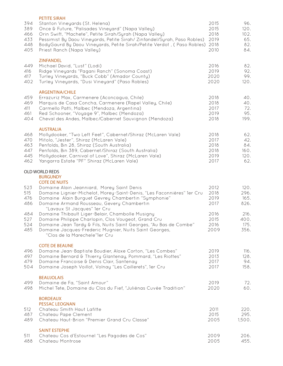| 394<br>389<br>466<br>433<br>448<br>405 | <b>PETITE SIRAH</b><br>Stanton Vineyards (St. Helena)<br>Once & Future, "Palisades Vineyard" (Napa Valley)<br>Orin Swift, "Machete", Petite Sirah/Syrah (Napa Valley)<br>Pessimist By Daou Vineyards, Petite Sirah/Zinfandel/Syrah, Paso Robles)<br>BodyGaurd By Daou Vineyards, Petite Sirah/Petite Verdot, (Paso Robles)<br>Priest Ranch (Napa Valley) | 2015<br>2015<br>2018<br>2019<br>2018<br>2010 | 96.<br>120.<br>102.<br>65.<br>82.<br>84. |
|----------------------------------------|----------------------------------------------------------------------------------------------------------------------------------------------------------------------------------------------------------------------------------------------------------------------------------------------------------------------------------------------------------|----------------------------------------------|------------------------------------------|
| 449<br>416<br>417<br>402               | <b>ZINFANDEL</b><br>Michael David, "Lust" (Lodi)<br>Ridge Vineyards "Pagani Ranch" (Sonoma Coast)<br>Turley Vineyards, "Buck Cobb" (Amador County)<br>Turley Vineyards, "Dusi Vineyard" (Paso Robles)                                                                                                                                                    | 2016<br>2019<br>2020<br>2020                 | 82.<br>92.<br>99.<br>120.                |
| 459<br>469<br>411<br>461<br>404        | <b>ARGENTINA/CHILE</b><br>Errazuriz Max, Carmenere (Aconcagua, Chile)<br>Marquis de Casa Concha, Carmenere (Rapel Valley, Chile)<br>Carmello Patti, Malbec (Mendoza, Argentina)<br>Red Schooner, "Voyage 9", Malbec (Mendoza)<br>Cheval des Andes, Malbec/Cabernet Sauvignon (Mendoza)                                                                   | 2018<br>2018<br>2017<br>2019<br>2018         | 40.<br>40.<br>72.<br>95.<br>199.         |
| 468<br>470<br>463<br>447<br>445<br>462 | <b>AUSTRALIA</b><br>Mollydooker, "Two Left Feet", Cabernet/Shiraz (McLaren Vale)<br>Mitolo, "Jester", Shiraz (McLaren Vale)<br>Penfolds, Bin 28, Shiraz (South Australia)<br>Penfolds, Bin 389, Cabernet/Shiraz (South Australia)<br>Mollydooker, Carnival of Love", Shiraz (McLaren Vale)<br>Yangarra Estate "PF" Shiraz (McLaren Vale)                 | 2018<br>2017<br>2018<br>2018<br>2019<br>2017 | 62.<br>42.<br>84.<br>160.<br>120.<br>62. |
|                                        | OLD WORLD REDS<br><b>BURGUNDY</b>                                                                                                                                                                                                                                                                                                                        |                                              |                                          |
| 523<br>515<br>476<br>486               | <b>COTE DE NUITS</b><br>Domaine Alain Jeanniard, Morey Saint Denis<br>Domaine Lignier-Michelot, Morey-Saint-Denis, "Les Faconnières" 1er Cru<br>Domaine Alain Burguet Gevrey Chambertin "Symphonie"<br>Domaine Armand Rousseau, Gevery Chambertin                                                                                                        | 2012<br>2018<br>2019<br>2017                 | 120.<br>296.<br>165.<br>826.             |
| 484<br>527<br>524<br>485               | "Lavaux St Jacques" 1er Cru<br>Domaine Thibault Liger-Belair, Chambolle Musigny<br>Domaine Philippe Charlopin, Clos Vougeot, Grand Cru<br>Domaine Jean Tardy & Fils, Nuits Saint Georges, "Au Bas de Combe"<br>Domaine Jacques-Frederic Mugnier, Nuits Saint Georges,<br>"Clos de la Marechele"1er Cru                                                   | 2016<br>2015<br>2016<br>2009                 | 216.<br>400.<br>175.<br>356.             |
| 496<br>497<br>479<br>504               | <b>COTE DE BEAUNE</b><br>Domaine Jean-Baptiste Boudier, Aloxe Corton, "Les Combes"<br>Domaine Bernard & Thierry Glantenay, Pommard, "Les Riottes"<br>Domaine Francoise & Denis Clair, Santenay<br>Domaine Joseph Voillot, Volnay "Les Caillerets", 1er Cru                                                                                               | 2019<br>2013<br>2017<br>2017                 | 116.<br>128.<br>94.<br>158.              |
| 499<br>498                             | <b>BEAUJOLAIS</b><br>Domaine de Fa, "Saint Amour"<br>Michel Tete, Domaine du Clos du Fief, "Juliénas Cuvée Tradition"                                                                                                                                                                                                                                    | 2019<br>2020                                 | 72.<br>60.                               |
| 512<br>487<br>489                      | <b>BORDEAUX</b><br><b>PESSAC LEOGNAN</b><br>Chateau Smith Haut Lafitte<br>Chateau Pape Clement<br>Chateau Haut-Brion "Premier Grand Cru Classe"                                                                                                                                                                                                          | 2011<br>2015<br>2005                         | 220.<br>295.<br>1,500.                   |
| 511<br>488                             | <b>SAINT ESTEPHE</b><br>Chateau Cos d'Estournel "Les Pagodes de Cos"<br>Chateau Montrose                                                                                                                                                                                                                                                                 | 2009<br>2005                                 | 206.<br>455.                             |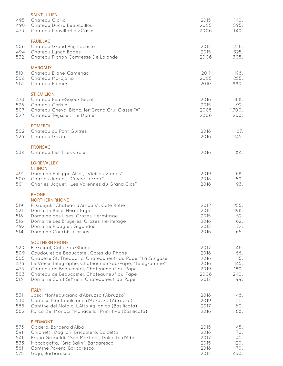| 495<br>490<br>473                             | <b>SAINT JULIEN</b><br>Chateau Gloria<br>Chateau Ducru Beaucaillou<br>Chateau Leoville-Las-Cases                                                                                                                                                                                                                                                                 | 2015<br>2005<br>2006                                 | 140.<br>595.<br>340.                              |
|-----------------------------------------------|------------------------------------------------------------------------------------------------------------------------------------------------------------------------------------------------------------------------------------------------------------------------------------------------------------------------------------------------------------------|------------------------------------------------------|---------------------------------------------------|
| 506<br>494<br>532                             | <b>PAUILLAC</b><br>Chateau Grand Puy Lacoste<br>Chateau Lynch Bages<br>Chateau Pichon Comtesse De Lalande                                                                                                                                                                                                                                                        | 2015<br>2015<br>2006                                 | 226.<br>325.<br>305.                              |
| 510<br>508<br>517                             | <b>MARGAUX</b><br>Chateau Brane-Cantenac<br>Chateau Marojallia<br>Chateau Palmer                                                                                                                                                                                                                                                                                 | 2011<br>2005<br>2010                                 | 198.<br>255.<br>880.                              |
| 474<br>528<br>507<br>522                      | <b>ST. EMILION</b><br>Chateau Beau-Sejour Becot<br>Chateau Corbin<br>Chateau Cheval Blanc, 1er Grand Cru, Classe "A"<br>Chateau Teyssier, "Le Dome"                                                                                                                                                                                                              | 2016<br>2015<br>2005<br>2006                         | 168.<br>92.<br>1,700.<br>260.                     |
| 502<br>526                                    | <b>POMEROL</b><br>Chateau au Pont Guitres<br>Chateau Gazin                                                                                                                                                                                                                                                                                                       | 2018<br>2016                                         | 67.<br>245.                                       |
| 534                                           | <b>FRONSAC</b><br>Chateau Les Trois Croix                                                                                                                                                                                                                                                                                                                        | 2016                                                 | 84.                                               |
| 491<br>500<br>501                             | <b>LOIRE VALLEY</b><br><b>CHINON</b><br>Domaine Philippe Alliet, "Vieilles Vignes"<br>Charles Joguet, "Cuvee Terroir"<br>Charles Joguet, "Les Varennes du Grand Clos"                                                                                                                                                                                            | 2019<br>2018<br>2016                                 | 68.<br>60.<br>93.                                 |
| 519<br>521<br>518<br>516<br>492<br>514        | <b>RHONE</b><br><b>NORTHERN RHONE</b><br>E. Guigal, "Chateau d'Ampuis", Cote Rotie<br>Domaine Belle, Hermitage<br>Domaine des Lises, Crozes-Hermitage<br>Domaine Les Bruyeres, Crozes-Hermitage<br>Domaine Piaugier, Gigondas<br>Domaine Courbis, Cornas                                                                                                         | 2012<br>2015<br>2015<br>2016<br>2015<br>2016         | 255.<br>198.<br>52.<br>62.<br>72.<br>65.          |
| 520<br>509<br>505<br>478<br>475<br>503<br>513 | <b>SOUTHERN RHONE</b><br>E. Guigal, Cotes-du-Rhone<br>Coudoulet de Beaucastel, Cotes-du-Rhone<br>Chapelle St. Theodoric, Chateauneuf- du Pape, "La Guigase"<br>Le Vieux Telegraphe, Chateauneuf-du-Pape, "Telegramme"<br>Chateau de Beaucastel, Chateauneuf-du-Pape<br>Chateau de Beaucastel, Chateauneuf-du-Pape<br>Domaine Saint Siffrein, Chateauneuf-du-Pape | 2017<br>2018<br>2016<br>2016<br>2019<br>2006<br>2017 | 46.<br>66.<br>115.<br>145.<br>180.<br>240.<br>99. |
| 531<br>530<br>585<br>562                      | <b>ITALY</b><br>Jasci Montepulciano d'Abruzzo (Abruzzo)<br>Contesa Montepulciano d'Abruzzo (Abruzzo)<br>Cantine del Notaio, L'Atto Aglianico (Basilicata)<br>Parco Dei Monaci "Monacello" Primitivo (Basilicata)                                                                                                                                                 | 2018<br>2019<br>2017<br>2016                         | 48.<br>52.<br>60.<br>68.                          |
| 573<br>591<br>541<br>535<br>561<br>575        | <b>PIEDMONT</b><br>Oddero, Barbera d'Alba<br>Chionetti, Dogliani Briccolero, Dolcetto<br>Bruna Grimaldi, "San Martino", Dolcetto d'Alba<br>Moccagatta, "Bric Balin", Barbaresco<br>Cantine Povero, Barbaresco<br>Gaja, Barbaresco                                                                                                                                | 2015<br>2018<br>2017<br>2015<br>2018<br>2015         | 45.<br>70.<br>42.<br>120.<br>70.<br>450.          |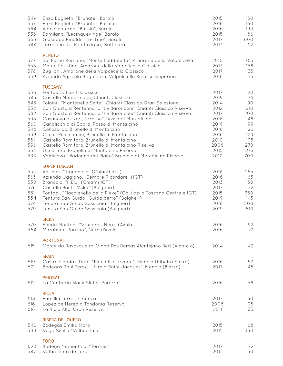| 549<br>557<br>584<br>536<br>565<br>544                                                  | Enzo Boglietti, "Brunate", Barolo<br>Enzo Boglietti, "Brunate", Barolo<br>Aldo Conterno, "Bussia", Barolo<br>Damilano, "Lecinquevinge" Barolo<br>Giuseppe Rinaldi, "Tre Tine", Barolo<br>Torraccia Del Paintavigna, Gattinara                                                                                                                                                                                                                                                                                                                                                                                                                                                                     | 2015<br>2016<br>2016<br>2015<br>2017<br>2013                                                         | 180.<br>160.<br>190.<br>86.<br>600.<br>52.                                                       |
|-----------------------------------------------------------------------------------------|---------------------------------------------------------------------------------------------------------------------------------------------------------------------------------------------------------------------------------------------------------------------------------------------------------------------------------------------------------------------------------------------------------------------------------------------------------------------------------------------------------------------------------------------------------------------------------------------------------------------------------------------------------------------------------------------------|------------------------------------------------------------------------------------------------------|--------------------------------------------------------------------------------------------------|
| 577<br>558<br>578<br>559                                                                | <b>VENETO</b><br>Dal Forno Romano, "Monte Loddoletta", Amarone della Valpolicella<br>Monte Faustino, Amarone della Valpolicella Classico<br>Buglioni, Amarone della Valpolicella Classico<br>Azienda Agricola Brigaldara, Valpolicella Ripasso Superiore                                                                                                                                                                                                                                                                                                                                                                                                                                          | 2010<br>2013<br>2017<br>2018                                                                         | 765.<br>158.<br>135.<br>75.                                                                      |
| 556<br>543<br>545<br>552<br>582<br>538<br>560<br>548<br>539<br>581<br>596<br>553<br>533 | <b>TUSCANY</b><br>Fontodi, Chianti Classico<br>Castello Monterinaldi, Chianti Classico<br>Tolaini, "Montebello Sette", Chianti Classico Gran Selezione<br>San Giusto a Rentennano "Le Baroncole" Chianti Classico Riserva<br>San Giusto a Rentennano "Le Baroncole" Chianti Classico Riserva<br>Casanova di Neri, "Irrosso", Rosso di Montalcino<br>Canalicchio di Sopra, Rosso di Montalcino<br>Collosorbo, Brunello di Montalcino<br>Ciacci Piccolomini, Brunello di Montalcino<br>Castello Romitoro, Brunello di Montalcino<br>Castello Romitoro, Brunello di Montalcino Riserva<br>Uccelliera, Brunello di Montalcino Riserva<br>Valdicava "Madonna del Piano" Brunello di Montalcino Riserva | 2017<br>2019<br>2014<br>2012<br>2017<br>2018<br>2019<br>2016<br>2016<br>2010<br>2006<br>2015<br>2010 | 120.<br>76.<br>90.<br>210.<br>200.<br>48.<br>99.<br>126.<br>129.<br>195.<br>270.<br>275.<br>700. |
| 555<br>568<br>550<br>576<br>551<br>554<br>574<br>579                                    | <b>SUPER TUSCAN</b><br>Antinori, "Tignanello" (Chianti IGT)<br>Azienda Uggiano, "Sempre Ricordare" (IGT)<br>Brancaia, "Il Blu" (Chianti IGT)<br>Castello Banfi, "Aska" (Bolgheri)<br>Fontodi, "Flaccianello della Pieve" (Colli della Toscana Centrale IGT)<br>Tentuta San Guido "Guidalberto" (Bolgheri)<br>Tenuta San Guido Sassicaia (Bolgheri)<br>Tenuta San Guido Sassicaia (Bolgheri)                                                                                                                                                                                                                                                                                                       | 2018<br>2016<br>2013<br>2017<br>2015<br>2019<br>2018<br>2019                                         | 265.<br>65.<br>180.<br>72.<br>350.<br>145.<br>500.<br>510.                                       |
| 570<br>564                                                                              | <b>SICILY</b><br>Feudo Montoni, "Vrucara", Nero d'Avola<br>Marabino "Parrino", Nero d'Avola                                                                                                                                                                                                                                                                                                                                                                                                                                                                                                                                                                                                       | 2016<br>2016                                                                                         | 92.<br>72.                                                                                       |
| 615                                                                                     | <b>PORTUGAL</b><br>Monte da Ravasqueira, Vinha Das Romas Alentejano Red (Alentejo)                                                                                                                                                                                                                                                                                                                                                                                                                                                                                                                                                                                                                | 2014                                                                                                 | 42.                                                                                              |
| 619<br>621                                                                              | <b>SPAIN</b><br>Castro Candaz Tinto, "Finca El Curvado", Mencia (Ribeira Sacra)<br>Bodegas Raul Perez, "Ultreia Saint Jacques", Mencia (Bierzo)                                                                                                                                                                                                                                                                                                                                                                                                                                                                                                                                                   | 2016<br>2017                                                                                         | 52.<br>48.                                                                                       |
| 612                                                                                     | <b>PRIORAT</b><br>La Contreria Black Slate, "Porerra"                                                                                                                                                                                                                                                                                                                                                                                                                                                                                                                                                                                                                                             | 2016                                                                                                 | 58.                                                                                              |
| 614<br>616<br>618                                                                       | <b>RIOJA</b><br>Famillia Torres, Crianza<br>Lopez de Heredia Tondonia Reserva<br>La Rioja Alta, Gran Reserva                                                                                                                                                                                                                                                                                                                                                                                                                                                                                                                                                                                      | 2017<br>2008<br>2011                                                                                 | 50.<br>98.<br>135.                                                                               |
| 546<br>599                                                                              | <b>RIBERA DEL DUERO</b><br><b>Bodegas Emilio Moro</b><br>Vega Sicilia "Valbuena 5"                                                                                                                                                                                                                                                                                                                                                                                                                                                                                                                                                                                                                | 2015<br>2015                                                                                         | 68.<br>350.                                                                                      |
| 620<br>547                                                                              | <b>TORO</b><br>Bodega Numanthia, "Termes"<br>Vatan Tinta de Toro                                                                                                                                                                                                                                                                                                                                                                                                                                                                                                                                                                                                                                  | 2017<br>2012                                                                                         | 72.<br>60.                                                                                       |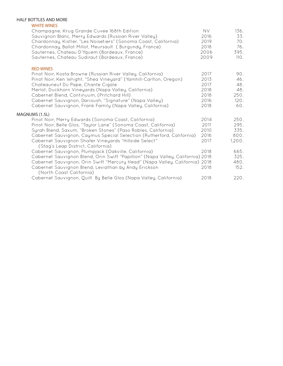#### HALF BOTTLES AND MORE

#### WHITE WINES

| Champagne, Krug Grande Cuvee 168th Edition<br>Sauvignon Blanc, Merry Edwards (Russian River Valley)<br>Chardonnay, Kistler, "Les Noisetiers" (Sonoma Coast, California)<br>Chardonnay, Ballot Millot, Meursault (Burgundy, France)<br>Sauternes, Chateau D'Yquem (Bordeaux, France)<br>Sauternes, Chateau Sudiraut (Bordeaux, France)                                                                                      | <b>NV</b><br>2016<br>2019<br>2018<br>2006<br>2009    | 136.<br>33.<br>70.<br>76.<br>395.<br>110.       |
|----------------------------------------------------------------------------------------------------------------------------------------------------------------------------------------------------------------------------------------------------------------------------------------------------------------------------------------------------------------------------------------------------------------------------|------------------------------------------------------|-------------------------------------------------|
| <b>RED WINES</b><br>Pinot Noir, Kosta Browne (Russian River Valley, California)<br>Pinot Noir, Ken Wright, "Shea Vineyard" (Yamhill-Carlton, Oregon)<br>Chateauneuf Du Pape, Chante Cigale<br>Merlot, Duckhorn Vineyards (Napa Valley, California)<br>Cabernet Blend, Continuum, (Pritchard Hill)<br>Cabernet Sauvignon, Darioush, "Signature" (Napa Valley)<br>Cabernet Sauvignon, Frank Family (Napa Valley, California) | 2017<br>2013<br>2017<br>2018<br>2018<br>2016<br>2018 | 90.<br>46.<br>48.<br>48.<br>250.<br>120.<br>60. |
| MAGNUMS (1.5L)<br>Pinot Noir, Merry Edwards (Sonoma Coast, California)<br>Pinot Noir, Belle Glos, "Taylor Lane" (Sonoma Coast, California)<br>Syrah Blend, Saxum, "Broken Stones" (Paso Robles, California)<br>Cabernet Sauvignon, Caymus Special Selection (Rutherford, California)<br>Cabernet Sauvignon Shafer Vineyards "Hillside Select"<br>(Stag's Leap District, California)                                        | 2014<br>2011<br>2010<br>2016<br>2017                 | 250.<br>295.<br>335.<br>800.<br>1,200.          |
| Cabernet Sauvignon, Plumpjack (Oakville, California)<br>Cabernet Sauvignon Blend, Orin Swift "Papillion" (Napa Valley, California) 2018<br>Cabernet Sauvignon, Orin Swift "Mercury Head" (Napa Valley, California) 2018<br>Cabernet Sauvignon Blend, Leviathan by Andy Erickson<br>(North Coast California)                                                                                                                | 2018<br>2018                                         | 665.<br>325.<br>480.<br>152.                    |
| Cabernet Sauvignon, Quilt By Belle Glos (Napa Valley, California)                                                                                                                                                                                                                                                                                                                                                          | 2018                                                 | 220.                                            |